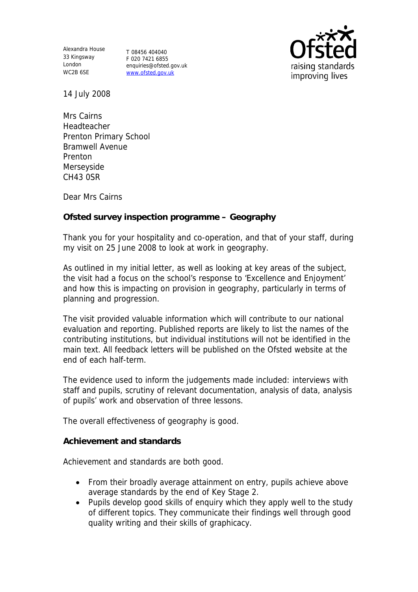Alexandra House 33 Kingsway London WC2B 6SE

T 08456 404040 F 020 7421 6855 enquiries@ofsted.gov.uk www.ofsted.gov.uk



14 July 2008

Mrs Cairns Headteacher Prenton Primary School Bramwell Avenue Prenton Merseyside CH43 0SR

Dear Mrs Cairns

**Ofsted survey inspection programme – Geography**

Thank you for your hospitality and co-operation, and that of your staff, during my visit on 25 June 2008 to look at work in geography.

As outlined in my initial letter, as well as looking at key areas of the subject, the visit had a focus on the school's response to 'Excellence and Enjoyment' and how this is impacting on provision in geography, particularly in terms of planning and progression.

The visit provided valuable information which will contribute to our national evaluation and reporting. Published reports are likely to list the names of the contributing institutions, but individual institutions will not be identified in the main text. All feedback letters will be published on the Ofsted website at the end of each half-term.

The evidence used to inform the judgements made included: interviews with staff and pupils, scrutiny of relevant documentation, analysis of data, analysis of pupils' work and observation of three lessons.

The overall effectiveness of geography is good.

**Achievement and standards**

Achievement and standards are both good.

- From their broadly average attainment on entry, pupils achieve above average standards by the end of Key Stage 2.
- Pupils develop good skills of enquiry which they apply well to the study of different topics. They communicate their findings well through good quality writing and their skills of graphicacy.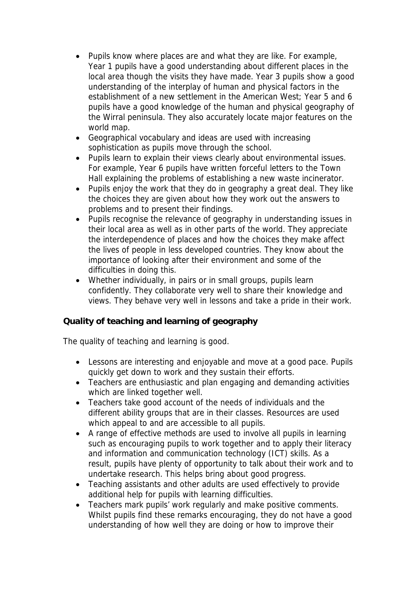- Pupils know where places are and what they are like. For example, Year 1 pupils have a good understanding about different places in the local area though the visits they have made. Year 3 pupils show a good understanding of the interplay of human and physical factors in the establishment of a new settlement in the American West; Year 5 and 6 pupils have a good knowledge of the human and physical geography of the Wirral peninsula. They also accurately locate major features on the world map.
- Geographical vocabulary and ideas are used with increasing sophistication as pupils move through the school.
- Pupils learn to explain their views clearly about environmental issues. For example, Year 6 pupils have written forceful letters to the Town Hall explaining the problems of establishing a new waste incinerator.
- Pupils enjoy the work that they do in geography a great deal. They like the choices they are given about how they work out the answers to problems and to present their findings.
- Pupils recognise the relevance of geography in understanding issues in their local area as well as in other parts of the world. They appreciate the interdependence of places and how the choices they make affect the lives of people in less developed countries. They know about the importance of looking after their environment and some of the difficulties in doing this.
- Whether individually, in pairs or in small groups, pupils learn confidently. They collaborate very well to share their knowledge and views. They behave very well in lessons and take a pride in their work.

**Quality of teaching and learning of geography**

The quality of teaching and learning is good.

- Lessons are interesting and enjoyable and move at a good pace. Pupils quickly get down to work and they sustain their efforts.
- Teachers are enthusiastic and plan engaging and demanding activities which are linked together well.
- Teachers take good account of the needs of individuals and the different ability groups that are in their classes. Resources are used which appeal to and are accessible to all pupils.
- A range of effective methods are used to involve all pupils in learning such as encouraging pupils to work together and to apply their literacy and information and communication technology (ICT) skills. As a result, pupils have plenty of opportunity to talk about their work and to undertake research. This helps bring about good progress.
- Teaching assistants and other adults are used effectively to provide additional help for pupils with learning difficulties.
- Teachers mark pupils' work regularly and make positive comments. Whilst pupils find these remarks encouraging, they do not have a good understanding of how well they are doing or how to improve their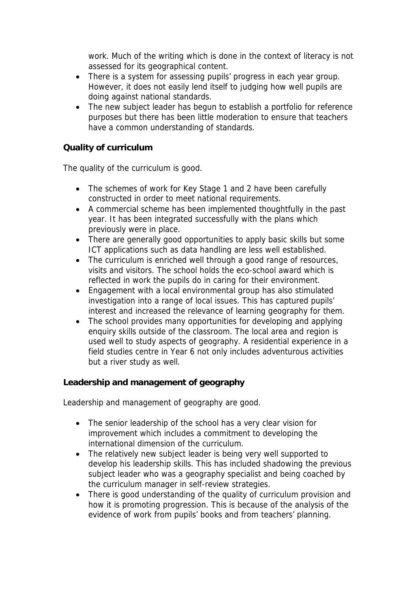work. Much of the writing which is done in the context of literacy is not assessed for its geographical content.

- There is a system for assessing pupils' progress in each year group. However, it does not easily lend itself to judging how well pupils are doing against national standards.
- The new subject leader has begun to establish a portfolio for reference purposes but there has been little moderation to ensure that teachers have a common understanding of standards.

**Quality of curriculum** 

The quality of the curriculum is good.

- The schemes of work for Key Stage 1 and 2 have been carefully constructed in order to meet national requirements.
- A commercial scheme has been implemented thoughtfully in the past year. It has been integrated successfully with the plans which previously were in place.
- There are generally good opportunities to apply basic skills but some ICT applications such as data handling are less well established.
- The curriculum is enriched well through a good range of resources, visits and visitors. The school holds the eco-school award which is reflected in work the pupils do in caring for their environment.
- Engagement with a local environmental group has also stimulated investigation into a range of local issues. This has captured pupils' interest and increased the relevance of learning geography for them.
- The school provides many opportunities for developing and applying enquiry skills outside of the classroom. The local area and region is used well to study aspects of geography. A residential experience in a field studies centre in Year 6 not only includes adventurous activities but a river study as well.

**Leadership and management of geography**

Leadership and management of geography are good.

- The senior leadership of the school has a very clear vision for improvement which includes a commitment to developing the international dimension of the curriculum.
- The relatively new subject leader is being very well supported to develop his leadership skills. This has included shadowing the previous subject leader who was a geography specialist and being coached by the curriculum manager in self-review strategies.
- There is good understanding of the quality of curriculum provision and how it is promoting progression. This is because of the analysis of the evidence of work from pupils' books and from teachers' planning.